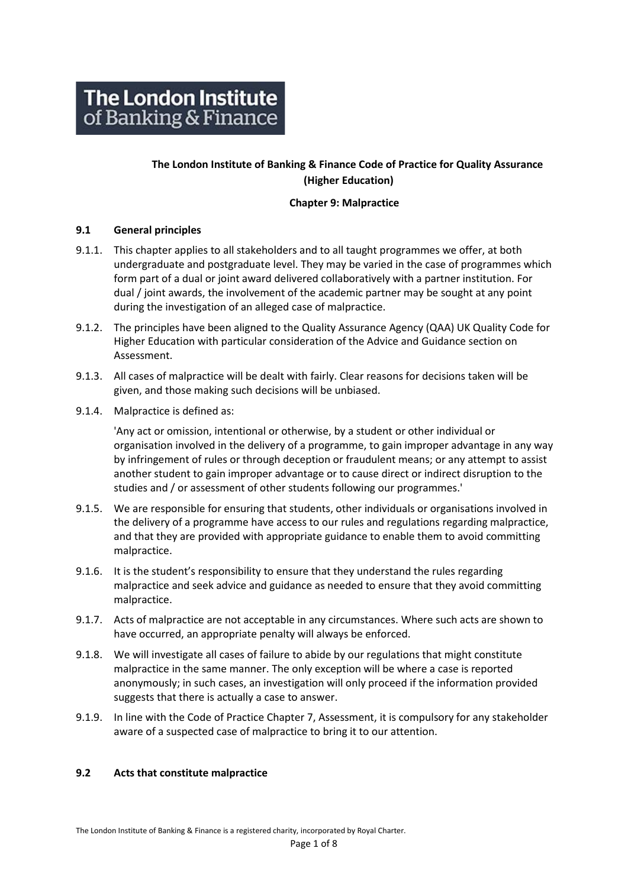# **The London Institute of Banking & Finance Code of Practice for Quality Assurance (Higher Education)**

## **Chapter 9: Malpractice**

#### **9.1 General principles**

- 9.1.1. This chapter applies to all stakeholders and to all taught programmes we offer, at both undergraduate and postgraduate level. They may be varied in the case of programmes which form part of a dual or joint award delivered collaboratively with a partner institution. For dual / joint awards, the involvement of the academic partner may be sought at any point during the investigation of an alleged case of malpractice.
- 9.1.2. The principles have been aligned to the Quality Assurance Agency (QAA) UK Quality Code for Higher Education with particular consideration of the Advice and Guidance section on Assessment.
- 9.1.3. All cases of malpractice will be dealt with fairly. Clear reasons for decisions taken will be given, and those making such decisions will be unbiased.
- 9.1.4. Malpractice is defined as:

'Any act or omission, intentional or otherwise, by a student or other individual or organisation involved in the delivery of a programme, to gain improper advantage in any way by infringement of rules or through deception or fraudulent means; or any attempt to assist another student to gain improper advantage or to cause direct or indirect disruption to the studies and / or assessment of other students following our programmes.'

- 9.1.5. We are responsible for ensuring that students, other individuals or organisations involved in the delivery of a programme have access to our rules and regulations regarding malpractice, and that they are provided with appropriate guidance to enable them to avoid committing malpractice.
- 9.1.6. It is the student's responsibility to ensure that they understand the rules regarding malpractice and seek advice and guidance as needed to ensure that they avoid committing malpractice.
- 9.1.7. Acts of malpractice are not acceptable in any circumstances. Where such acts are shown to have occurred, an appropriate penalty will always be enforced.
- 9.1.8. We will investigate all cases of failure to abide by our regulations that might constitute malpractice in the same manner. The only exception will be where a case is reported anonymously; in such cases, an investigation will only proceed if the information provided suggests that there is actually a case to answer.
- 9.1.9. In line with the Code of Practice Chapter 7, Assessment, it is compulsory for any stakeholder aware of a suspected case of malpractice to bring it to our attention.

#### **9.2 Acts that constitute malpractice**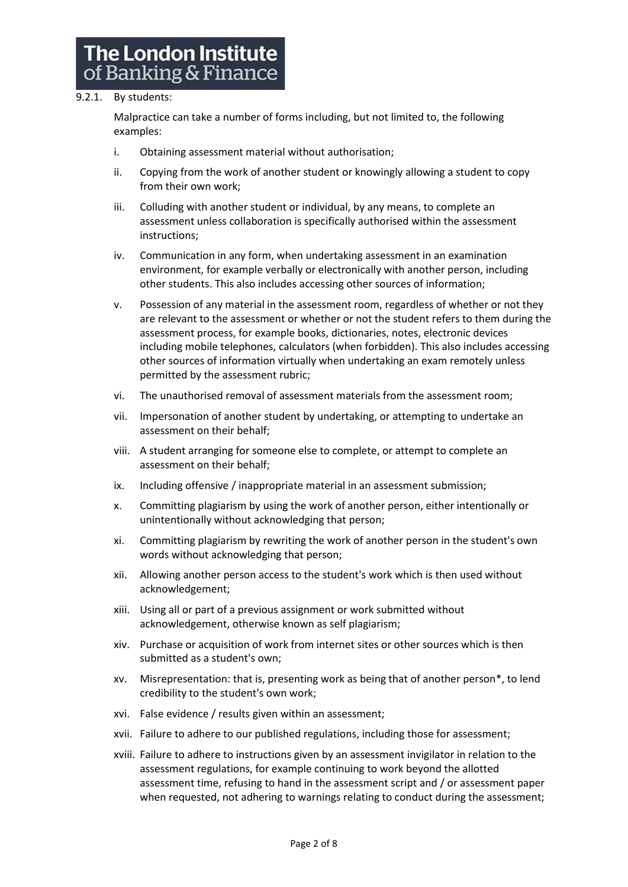#### 9.2.1. By students:

Malpractice can take a number of forms including, but not limited to, the following examples:

- i. Obtaining assessment material without authorisation;
- ii. Copying from the work of another student or knowingly allowing a student to copy from their own work;
- iii. Colluding with another student or individual, by any means, to complete an assessment unless collaboration is specifically authorised within the assessment instructions;
- iv. Communication in any form, when undertaking assessment in an examination environment, for example verbally or electronically with another person, including other students. This also includes accessing other sources of information;
- v. Possession of any material in the assessment room, regardless of whether or not they are relevant to the assessment or whether or not the student refers to them during the assessment process, for example books, dictionaries, notes, electronic devices including mobile telephones, calculators (when forbidden). This also includes accessing other sources of information virtually when undertaking an exam remotely unless permitted by the assessment rubric;
- vi. The unauthorised removal of assessment materials from the assessment room;
- vii. Impersonation of another student by undertaking, or attempting to undertake an assessment on their behalf;
- viii. A student arranging for someone else to complete, or attempt to complete an assessment on their behalf;
- ix. Including offensive / inappropriate material in an assessment submission;
- x. Committing plagiarism by using the work of another person, either intentionally or unintentionally without acknowledging that person;
- xi. Committing plagiarism by rewriting the work of another person in the student's own words without acknowledging that person;
- xii. Allowing another person access to the student's work which is then used without acknowledgement;
- xiii. Using all or part of a previous assignment or work submitted without acknowledgement, otherwise known as self plagiarism;
- xiv. Purchase or acquisition of work from internet sites or other sources which is then submitted as a student's own;
- xv. Misrepresentation: that is, presenting work as being that of another person\*, to lend credibility to the student's own work;
- xvi. False evidence / results given within an assessment;
- xvii. Failure to adhere to our published regulations, including those for assessment;
- xviii. Failure to adhere to instructions given by an assessment invigilator in relation to the assessment regulations, for example continuing to work beyond the allotted assessment time, refusing to hand in the assessment script and / or assessment paper when requested, not adhering to warnings relating to conduct during the assessment;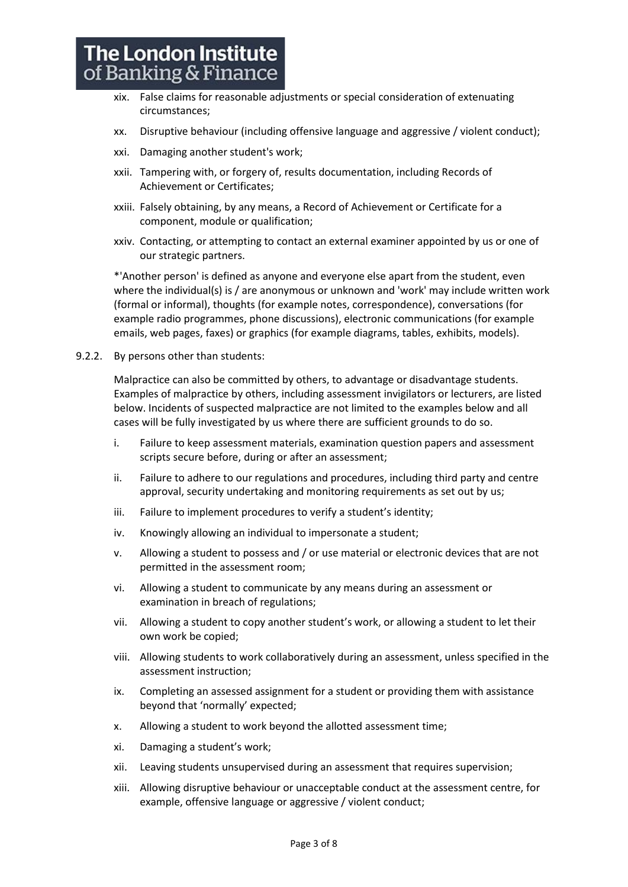- xix. False claims for reasonable adjustments or special consideration of extenuating circumstances;
- xx. Disruptive behaviour (including offensive language and aggressive / violent conduct);
- xxi. Damaging another student's work;
- xxii. Tampering with, or forgery of, results documentation, including Records of Achievement or Certificates;
- xxiii. Falsely obtaining, by any means, a Record of Achievement or Certificate for a component, module or qualification;
- xxiv. Contacting, or attempting to contact an external examiner appointed by us or one of our strategic partners.

\*'Another person' is defined as anyone and everyone else apart from the student, even where the individual(s) is / are anonymous or unknown and 'work' may include written work (formal or informal), thoughts (for example notes, correspondence), conversations (for example radio programmes, phone discussions), electronic communications (for example emails, web pages, faxes) or graphics (for example diagrams, tables, exhibits, models).

9.2.2. By persons other than students:

Malpractice can also be committed by others, to advantage or disadvantage students. Examples of malpractice by others, including assessment invigilators or lecturers, are listed below. Incidents of suspected malpractice are not limited to the examples below and all cases will be fully investigated by us where there are sufficient grounds to do so.

- i. Failure to keep assessment materials, examination question papers and assessment scripts secure before, during or after an assessment;
- ii. Failure to adhere to our regulations and procedures, including third party and centre approval, security undertaking and monitoring requirements as set out by us;
- iii. Failure to implement procedures to verify a student's identity;
- iv. Knowingly allowing an individual to impersonate a student;
- v. Allowing a student to possess and / or use material or electronic devices that are not permitted in the assessment room;
- vi. Allowing a student to communicate by any means during an assessment or examination in breach of regulations;
- vii. Allowing a student to copy another student's work, or allowing a student to let their own work be copied;
- viii. Allowing students to work collaboratively during an assessment, unless specified in the assessment instruction;
- ix. Completing an assessed assignment for a student or providing them with assistance beyond that 'normally' expected;
- x. Allowing a student to work beyond the allotted assessment time;
- xi. Damaging a student's work;
- xii. Leaving students unsupervised during an assessment that requires supervision;
- xiii. Allowing disruptive behaviour or unacceptable conduct at the assessment centre, for example, offensive language or aggressive / violent conduct;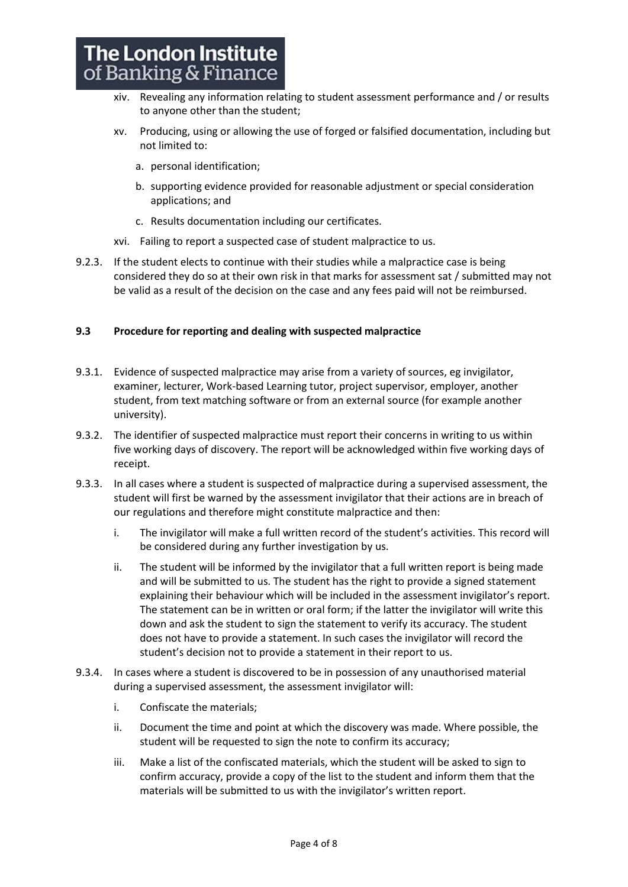- xiv. Revealing any information relating to student assessment performance and / or results to anyone other than the student;
- xv. Producing, using or allowing the use of forged or falsified documentation, including but not limited to:
	- a. personal identification;
	- b. supporting evidence provided for reasonable adjustment or special consideration applications; and
	- c. Results documentation including our certificates.
- xvi. Failing to report a suspected case of student malpractice to us.
- 9.2.3. If the student elects to continue with their studies while a malpractice case is being considered they do so at their own risk in that marks for assessment sat / submitted may not be valid as a result of the decision on the case and any fees paid will not be reimbursed.

#### **9.3 Procedure for reporting and dealing with suspected malpractice**

- 9.3.1. Evidence of suspected malpractice may arise from a variety of sources, eg invigilator, examiner, lecturer, Work-based Learning tutor, project supervisor, employer, another student, from text matching software or from an external source (for example another university).
- 9.3.2. The identifier of suspected malpractice must report their concerns in writing to us within five working days of discovery. The report will be acknowledged within five working days of receipt.
- 9.3.3. In all cases where a student is suspected of malpractice during a supervised assessment, the student will first be warned by the assessment invigilator that their actions are in breach of our regulations and therefore might constitute malpractice and then:
	- i. The invigilator will make a full written record of the student's activities. This record will be considered during any further investigation by us.
	- ii. The student will be informed by the invigilator that a full written report is being made and will be submitted to us. The student has the right to provide a signed statement explaining their behaviour which will be included in the assessment invigilator's report. The statement can be in written or oral form; if the latter the invigilator will write this down and ask the student to sign the statement to verify its accuracy. The student does not have to provide a statement. In such cases the invigilator will record the student's decision not to provide a statement in their report to us.
- 9.3.4. In cases where a student is discovered to be in possession of any unauthorised material during a supervised assessment, the assessment invigilator will:
	- i. Confiscate the materials;
	- ii. Document the time and point at which the discovery was made. Where possible, the student will be requested to sign the note to confirm its accuracy;
	- iii. Make a list of the confiscated materials, which the student will be asked to sign to confirm accuracy, provide a copy of the list to the student and inform them that the materials will be submitted to us with the invigilator's written report.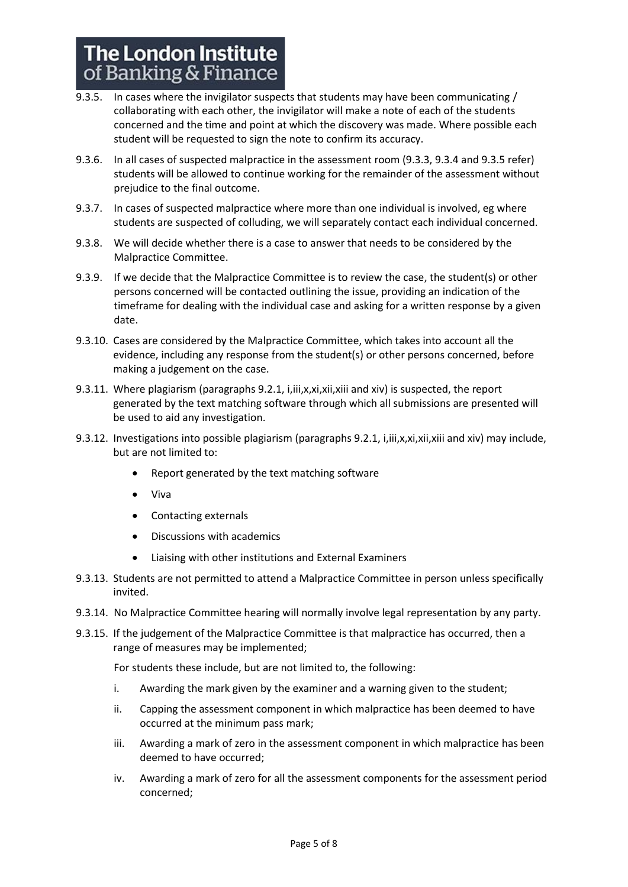- 9.3.5. In cases where the invigilator suspects that students may have been communicating / collaborating with each other, the invigilator will make a note of each of the students concerned and the time and point at which the discovery was made. Where possible each student will be requested to sign the note to confirm its accuracy.
- 9.3.6. In all cases of suspected malpractice in the assessment room (9.3.3, 9.3.4 and 9.3.5 refer) students will be allowed to continue working for the remainder of the assessment without prejudice to the final outcome.
- 9.3.7. In cases of suspected malpractice where more than one individual is involved, eg where students are suspected of colluding, we will separately contact each individual concerned.
- 9.3.8. We will decide whether there is a case to answer that needs to be considered by the Malpractice Committee.
- 9.3.9. If we decide that the Malpractice Committee is to review the case, the student(s) or other persons concerned will be contacted outlining the issue, providing an indication of the timeframe for dealing with the individual case and asking for a written response by a given date.
- 9.3.10. Cases are considered by the Malpractice Committee, which takes into account all the evidence, including any response from the student(s) or other persons concerned, before making a judgement on the case.
- 9.3.11. Where plagiarism (paragraphs 9.2.1, i,iii,x,xi,xii,xiii and xiv) is suspected, the report generated by the text matching software through which all submissions are presented will be used to aid any investigation.
- 9.3.12. Investigations into possible plagiarism (paragraphs 9.2.1, i, iii, x, xi, xii, xiii and xiv) may include, but are not limited to:
	- Report generated by the text matching software
	- Viva
	- Contacting externals
	- Discussions with academics
	- Liaising with other institutions and External Examiners
- 9.3.13. Students are not permitted to attend a Malpractice Committee in person unless specifically invited.
- 9.3.14. No Malpractice Committee hearing will normally involve legal representation by any party.
- 9.3.15. If the judgement of the Malpractice Committee is that malpractice has occurred, then a range of measures may be implemented;

For students these include, but are not limited to, the following:

- i. Awarding the mark given by the examiner and a warning given to the student;
- ii. Capping the assessment component in which malpractice has been deemed to have occurred at the minimum pass mark;
- iii. Awarding a mark of zero in the assessment component in which malpractice has been deemed to have occurred;
- iv. Awarding a mark of zero for all the assessment components for the assessment period concerned;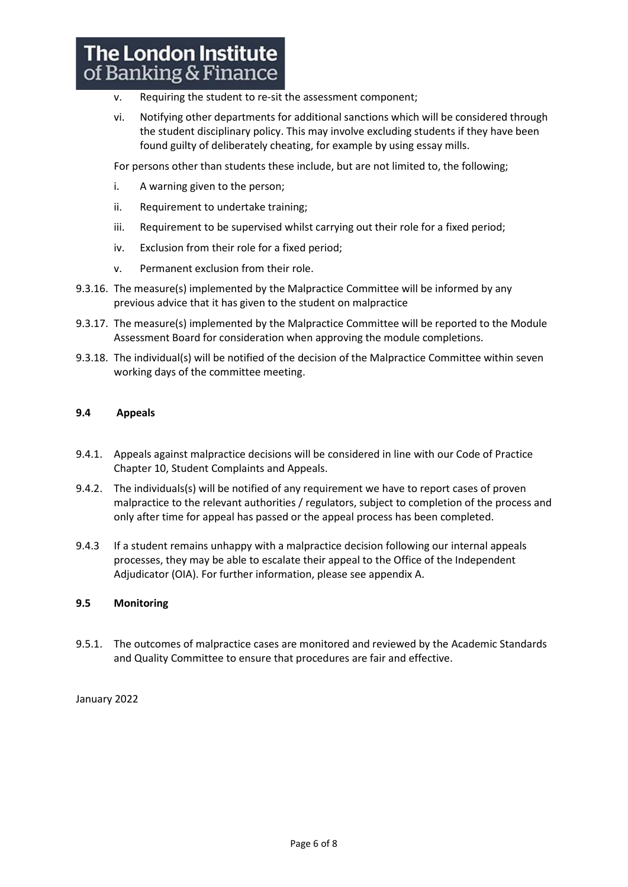# **The London Institute** of Banking & Finance

- v. Requiring the student to re-sit the assessment component;
- vi. Notifying other departments for additional sanctions which will be considered through the student disciplinary policy. This may involve excluding students if they have been found guilty of deliberately cheating, for example by using essay mills.

For persons other than students these include, but are not limited to, the following;

- i. A warning given to the person;
- ii. Requirement to undertake training;
- iii. Requirement to be supervised whilst carrying out their role for a fixed period;
- iv. Exclusion from their role for a fixed period;
- v. Permanent exclusion from their role.
- 9.3.16. The measure(s) implemented by the Malpractice Committee will be informed by any previous advice that it has given to the student on malpractice
- 9.3.17. The measure(s) implemented by the Malpractice Committee will be reported to the Module Assessment Board for consideration when approving the module completions.
- 9.3.18. The individual(s) will be notified of the decision of the Malpractice Committee within seven working days of the committee meeting.

#### **9.4 Appeals**

- 9.4.1. Appeals against malpractice decisions will be considered in line with our Code of Practice Chapter 10, Student Complaints and Appeals.
- 9.4.2. The individuals(s) will be notified of any requirement we have to report cases of proven malpractice to the relevant authorities / regulators, subject to completion of the process and only after time for appeal has passed or the appeal process has been completed.
- 9.4.3 If a student remains unhappy with a malpractice decision following our internal appeals processes, they may be able to escalate their appeal to the Office of the Independent Adjudicator (OIA). For further information, please see appendix A.

#### **9.5 Monitoring**

9.5.1. The outcomes of malpractice cases are monitored and reviewed by the Academic Standards and Quality Committee to ensure that procedures are fair and effective.

January 2022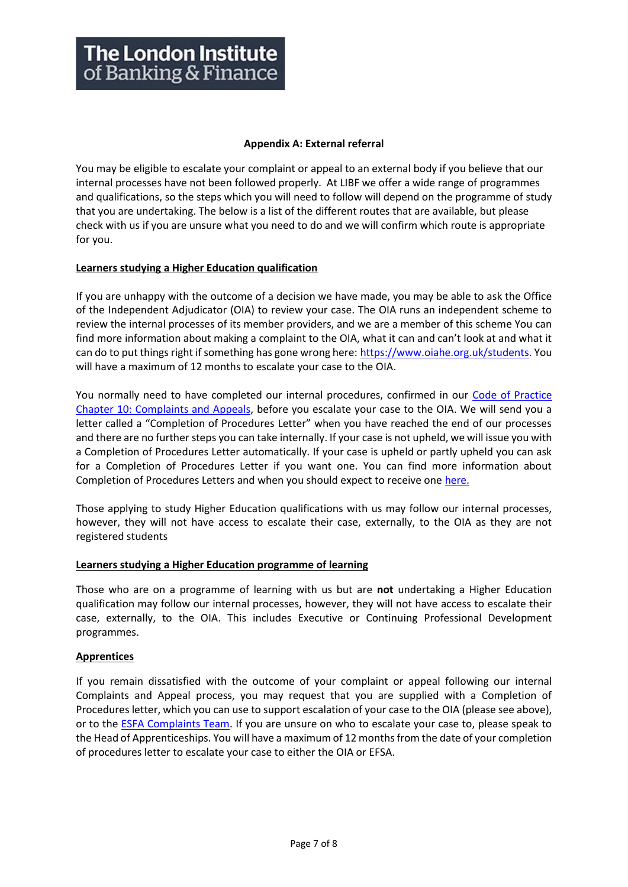#### **Appendix A: External referral**

You may be eligible to escalate your complaint or appeal to an external body if you believe that our internal processes have not been followed properly. At LIBF we offer a wide range of programmes and qualifications, so the steps which you will need to follow will depend on the programme of study that you are undertaking. The below is a list of the different routes that are available, but please check with us if you are unsure what you need to do and we will confirm which route is appropriate for you.

## **Learners studying a Higher Education qualification**

If you are unhappy with the outcome of a decision we have made, you may be able to ask the Office of the Independent Adjudicator (OIA) to review your case. The OIA runs an independent scheme to review the internal processes of its member providers, and we are a member of this scheme You can find more information about making a complaint to the OIA, what it can and can't look at and what it can do to put things right if something has gone wrong here: [https://www.oiahe.org.uk/students.](https://www.oiahe.org.uk/students/) You will have a maximum of 12 months to escalate your case to the OIA.

You normally need to have completed our internal procedures, confirmed in our [Code of Practice](https://www.libf.ac.uk/docs/default-source/about-us-docs/code-of-practice/chapter-10-complaints-and-appeals-(reviewed-july-2021-).pdf?sfvrsn=434268d_2)  [Chapter 10: Complaints and Appeals,](https://www.libf.ac.uk/docs/default-source/about-us-docs/code-of-practice/chapter-10-complaints-and-appeals-(reviewed-july-2021-).pdf?sfvrsn=434268d_2) before you escalate your case to the OIA. We will send you a letter called a "Completion of Procedures Letter" when you have reached the end of our processes and there are no further steps you can take internally. If your case is not upheld, we will issue you with a Completion of Procedures Letter automatically. If your case is upheld or partly upheld you can ask for a Completion of Procedures Letter if you want one. You can find more information about Completion of Procedures Letters and when you should expect to receive on[e here.](https://www.oiahe.org.uk/providers/completion-of-procedures%20letters)

Those applying to study Higher Education qualifications with us may follow our internal processes, however, they will not have access to escalate their case, externally, to the OIA as they are not registered students

#### **Learners studying a Higher Education programme of learning**

Those who are on a programme of learning with us but are **not** undertaking a Higher Education qualification may follow our internal processes, however, they will not have access to escalate their case, externally, to the OIA. This includes Executive or Continuing Professional Development programmes.

# **Apprentices**

If you remain dissatisfied with the outcome of your complaint or appeal following our internal Complaints and Appeal process, you may request that you are supplied with a Completion of Procedures letter, which you can use to support escalation of your case to the OIA (please see above), or to the [ESFA Complaints Team.](https://www.gov.uk/government/organisations/education-and-skills-funding-agency/about/complaints-procedure) If you are unsure on who to escalate your case to, please speak to the Head of Apprenticeships. You will have a maximum of 12 months from the date of your completion of procedures letter to escalate your case to either the OIA or EFSA.